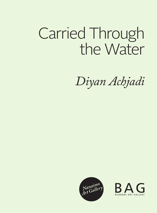# Carried Through the Water

*Diyan Achjadi*



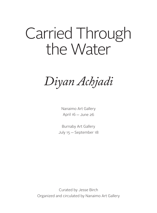## Carried Through the Water

*Diyan Achjadi*

Nanaimo Art Gallery April 16 - June 26

Burnaby Art Gallery July 15 - September 18

Curated by Jesse Birch Organized and circulated by Nanaimo Art Gallery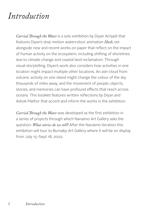### *Introduction*

*Carried Through the Water* is a solo exhibition by Diyan Achjadi that features Diyan's stop motion watercolour animation *Hush*, set alongside new and recent works on paper that reflect on the impact of human activity on the ecosystem, including shifting of shorelines due to climate change and coastal land reclamation. Through visual storytelling, Diyan's work also considers how activities in one location might impact multiple other locations. An ash-cloud from volcanic activity on one island might change the colour of the sky thousands of miles away, and the movement of people, objects, stories, and memories can have profound effects that reach across oceans. This booklet features written reflections by Diyan and Ashok Mathur that accent and inform the works in the exhibition.

*Carried Through the Water* was developed as the first exhibition in a series of projects through which Nanaimo Art Gallery asks the question: *What stories do we tell?* After the Nanaimo iteration this exhibition will tour to Burnaby Art Gallery where it will be on display from July 15–Sept 18, 2022.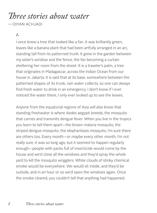*Three stories about water*

—DIYAN ACHJADI

#### *1.*

I once knew a tree that looked like a fan. It was brilliantly green, leaves like a banana plant that had been artfully arranged in an arc, standing tall from its patterned trunk. It grew in the garden between my sister's window and the fence, the fan becoming a curtain sheltering her room from the street. It is a traveler's palm, a tree that originates in Madagascar, across the Indian Ocean from our house in Jakarta. It is said that at its base, somewhere between the patterned shapes of its trunk, rain water collects, so one can always find fresh water to drink in an emergency. I don't know if I ever noticed the water there, I only ever looked up to see the leaves.

Anyone from the equatorial regions of Asia will also know that standing freshwater is where Aedes aegypti breeds, the mosquito that carries and transmits dengue fever. When you live in the tropics you learn to tell them apart—the brown malaria mosquito, the striped dengue mosquito, the elephantiasis mosquito, I'm sure there are others too. Every month—or maybe every other month, I'm not really sure, it was so long ago, but it seemed to happen regularly enough—people with packs full of insecticide would come by the house and we'd close all the windows and they'd spray the whole yard to kill the mosquito wrigglers. White clouds of stinky chemical smoke would be everywhere. We would sit inside, and they'd be outside, and in an hour or so we'd open the windows again. Once the smoke cleared, you couldn't tell that anything had happened.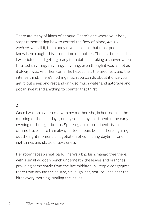There are many of kinds of dengue. There's one where your body stops remembering how to control the flow of blood, *demam berdarah* we call it, the bloody fever. It seems that most people I know have caught this at one time or another. The first time I had it, I was sixteen and getting ready for a date and taking a shower when I started shivering, shivering, shivering, even though it was as hot as it always was. And then came the headaches, the tiredness, and the intense thirst. There's nothing much you can do about it once you get it, but sleep and rest and drink so much water and gatorade and pocari sweat and anything to counter that thirst.

#### *2.*

Once I was on a video call with my mother: she, in her room, in the morning of the next day; I, on my sofa in my apartment in the early evening of the night before. Speaking across continents is an act of time travel: here I am always fifteen hours behind there, figuring out the right moment, a negotiation of conflicting daytimes and nighttimes and states of awareness.

Her room faces a small park. There's a big, lush, mango tree there, with a small wooden bench underneath; the leaves and branches providing some shade from the hot midday sun. People congregate there from around the square, sit, laugh, eat, rest. You can hear the birds every morning, rustling the leaves.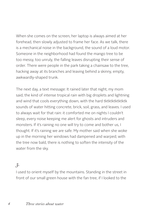When she comes on the screen, her laptop is always aimed at her forehead, then slowly adjusted to frame her face. As we talk, there is a mechanical noise in the background, the sound of a loud motor. Someone in the neighborhood had found the mango tree to be too messy, too unruly, the falling leaves disrupting their sense of order. There were people in the park taking a chainsaw to the tree, hacking away at its branches and leaving behind a skinny, empty, awkwardly-shaped trunk.

The next day, a text message: It rained later that night, my mom said, the kind of intense tropical rain with big droplets and lightning and wind that cools everything down, with the hard tktktktktktktk sounds of water hitting concrete, brick, soil, grass, and leaves. I used to always wait for that rain: it comforted me on nights I couldn't sleep, every noise keeping me alert for ghosts and intruders and monsters. If it's raining no one will try to come and bother us, I thought. If it's raining we are safe. My mother said when she woke up in the morning her windows had dampened and warped; with the tree now bald, there is nothing to soften the intensity of the water from the sky.

### *3.*

I used to orient myself by the mountains. Standing in the street in front of our small green house with the fan tree, if I looked to the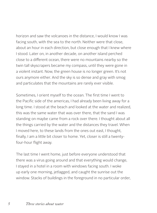horizon and saw the volcanoes in the distance, I would know I was facing south, with the sea to the north. Neither were that close, about an hour in each direction, but close enough that I knew where I stood. Later on, in another decade, on another island perched close to a different ocean, there were no mountains nearby so the twin tall skyscrapers became my compass, until they were gone in a violent instant. Now, the green house is no longer green. It's not ours anymore either. And the sky is so dense and gray with smog and particulates that the mountains are rarely ever visible.

Sometimes, I orient myself to the ocean. The first time I went to the Pacific side of the americas, I had already been living away for a long time. I stood at the beach and looked at the water and realized, this was the same water that was over there, that the sand I was standing on maybe came from a rock over there. I thought about all the things carried by the water and the distances they travel. When I moved here, to these lands from the ones out east, I thought, finally, I am a little bit closer to home. Yet, closer is still a twentyfour-hour flight away.

The last time I went home, just before everyone understood that there was a virus going around and that everything would change, I stayed in a hotel in a room with windows facing south. I woke up early one morning, jetlagged, and caught the sunrise out the window. Stacks of buildings in the foreground in no particular order,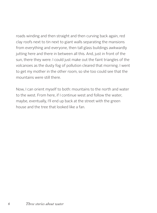roads winding and then straight and then curving back again, red clay roofs next to tin next to giant walls separating the mansions from everything and everyone, then tall glass buildings awkwardly jutting here and there in between all this. And, just in front of the sun, there they were. I could just make out the faint triangles of the volcanoes as the dusty fog of pollution cleared that morning. I went to get my mother in the other room, so she too could see that the mountains were still there.

Now, I can orient myself to both: mountains to the north and water to the west. From here, if I continue west and follow the water, maybe, eventually, I'll end up back at the street with the green house and the tree that looked like a fan.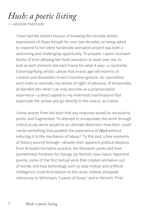## *Hush: a poetic listing*

—ASHOK MATHUR

I have had the distinct honour of knowing the intimate artistic expressions of Diyan Achjadi for over two decades, so being asked to respond to her latest handmade animation project was both a welcoming and challenging opportunity. To prepare, I spent incessant blocks of time allowing her Hush animation to wash over me, to look at each moment and each frame for what it was—a constantly transmogrifying artistic canvas that enacts age-old instincts of creation and dissolution in each transitive gesture. As I permitted each mark to resonate, my senses of sight, of pleasure, of temporality all blended into what I can only describe as a proprioceptive experience—a direct appeal to my innermost machinations that supercede the senses and go directly to the source, as it were.

I knew almost from the start that any response would be necessarily poetic and fragmented. To attempt to encapsulate this work through critical acuity alone would be an ultimate disservice. How then, could I write something that parallels the experience of *Hush* without reducing it to the mechanics of labour? To this end, a few moments of history poured through—despite their apparent political distance from Achjadi's formative practice, the Romantic poets and their (sometimes) fondness for listings; bp Nichol's now-classic hypertext poems, some of the first textual work that created animation out of words; and how technology such as stop motion and artificial intelligence could lend texture to this work. Indeed, alongside references to Whitman's "Leaves of Grass" and to Nichol's "First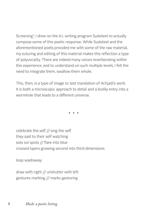Screening", I drew on the A.I. writing program Sudotext to actually compose some of this poetic response. While Sudotext and the aforementioned poets provided me with some of the raw material, my suturing and editing of this material makes this reflection a type of polyvocality. There are indeed many voices reverberating within this experience, and to understand on such multiple levels, I felt the need to integrate them, swallow them whole.

This, then, is a type of image to text translation of Achjadi's work. It is both a microscopic approach to detail and a bodily entry into a wormhole that leads to a different universe.

celebrate the self // sing the self they said to their self watching solo sol spots // flare into blue crossed layers growing second into third dimensions

loop washaway

draw with right // unshutter with left gestures marking // marks gesturing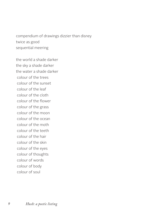compendium of drawings dizzier than disney twice as good sequential meering

the world a shade darker the sky a shade darker the water a shade darker colour of the trees colour of the sunset colour of the leaf colour of the cloth colour of the flower colour of the grass colour of the moon colour of the ocean colour of the moth colour of the teeth colour of the hair colour of the skin colour of the eyes colour of thoughts colour of words colour of body colour of soul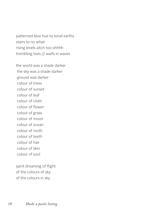patterned blue hue to tonal earths stairs to no whair rising levels aitch too ohhhh trembling toes // waifs in waves

the world was a shade darker the sky was a shade darker ground was darker colour of trees colour of sunset colour of leaf colour of cloth colour of flower colour of grass colour of moon colour of ocean colour of moth colour of teeth colour of hair colour of skin colour of soul

spirit dreaming of flight of the colours of sky of the colours in sky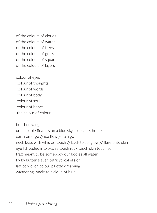of the colours of clouds of the colours of water of the colours of trees of the colours of grass of the colours of squares of the colours of layers

colour of eyes colour of thoughts colour of words colour of body colour of soul colour of bones the colour of colour

but then wings unflappable floaters on a blue sky is ocean is home earth emerge // ice flow // rain go neck buss with whisker touch // back to sol glow // flare onto skin eye lid loaded into waves touch rock touch skin touch sol frag meant to be somebody our bodies all water fly by butter eleven tetricyclical elision lattice woven colour palette dreaming wandering lonely as a cloud of blue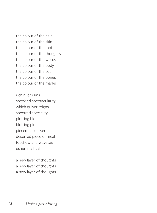the colour of the hair the colour of the skin the colour of the moth the colour of the thoughts the colour of the words the colour of the body the colour of the soul the colour of the bones the colour of the marks

rich river rains speckled spectacularity which quiver reigns spectred specielity plotting blots blotting plots piecemeal dessert deserted piece of meal footflow and wavetoe usher in a hush

a new layer of thoughts a new layer of thoughts a new layer of thoughts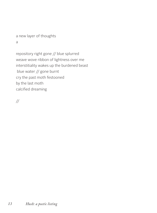a new layer of thoughts a

repository right gone // blue splurred weave wove ribbon of lightness over me interstitiality wakes up the burdened beast blue water // gone burnt cry the past moth festooned by the last moth calcified dreaming

//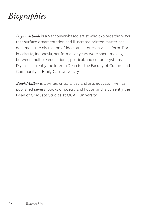## *Biographies*

*Diyan Achjadi* is a Vancouver-based artist who explores the ways that surface ornamentation and illustrated printed matter can document the circulation of ideas and stories in visual form. Born in Jakarta, Indonesia, her formative years were spent moving between multiple educational, political, and cultural systems. Diyan is currently the Interim Dean for the Faculty of Culture and Community at Emily Carr University.

*Ashok Mathur* is a writer, critic, artist, and arts educator. He has published several books of poetry and fiction and is currently the Dean of Graduate Studies at OCAD University.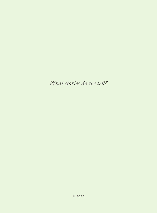*What stories do we tell?*